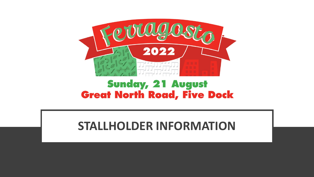

### **Sunday, 21 August Great North Road, Five Dock**

### **STALLHOLDER INFORMATION**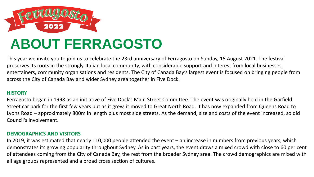

This year we invite you to join us to celebrate the 23rd anniversary of Ferragosto on Sunday, 15 August 2021. The festival preserves its roots in the strongly-Italian local community, with considerable support and interest from local businesses, entertainers, community organisations and residents. The City of Canada Bay's largest event is focused on bringing people from across the City of Canada Bay and wider Sydney area together in Five Dock.

#### **HISTORY**

Ferragosto began in 1998 as an initiative of Five Dock's Main Street Committee. The event was originally held in the Garfield Street car park for the first few years but as it grew, it moved to Great North Road. It has now expanded from Queens Road to Lyons Road – approximately 800m in length plus most side streets. As the demand, size and costs of the event increased, so did Council's involvement.

#### **DEMOGRAPHICS AND VISITORS**

In 2019, it was estimated that nearly 110,000 people attended the event – an increase in numbers from previous years, which demonstrates its growing popularity throughout Sydney. As in past years, the event draws a mixed crowd with close to 60 per cent of attendees coming from the City of Canada Bay, the rest from the broader Sydney area. The crowd demographics are mixed with all age groups represented and a broad cross section of cultures.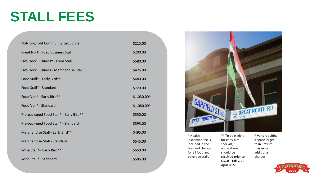### **STALL FEES**

| Not-for-profit Community Group Stall    | \$215.00    |
|-----------------------------------------|-------------|
| <b>Great North Road Business Stall</b>  | \$200.00    |
| Five Dock Business* - Food Stall        | \$580.00    |
| Five Dock Business - Merchandise Stall  | \$425.00    |
| Food Stall* - Early Bird**              | \$680.00    |
| Food Stall* - Standard                  | \$720.00    |
| Food Van* - Early Bird**                | \$1,030.00^ |
|                                         |             |
| Food Van* - Standard                    | \$1,080.00^ |
| Pre-packaged Food Stall* - Early Bird** | \$550.00    |
| Pre-packaged Food Stall* - Standard     | \$595.00    |
| Merchandise Stall - Early Bird**        | \$495.00    |
| Merchandise Stall - Standard            | \$545.00    |
| Wine Stall*- Early Bird**               | \$550.00    |



**\*** Health inspection fee is included in the fees and charges for all food and beverage stalls

**\*\*** To be eligible for early bird specials, applications should be received prior to C.O.B Friday, 22 April 2022

**^** Vans requiring a space larger than 5mx3m may incur additional charges

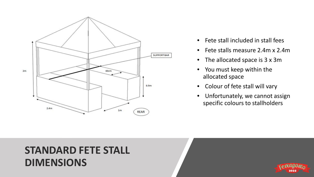

- Fete stall included in stall fees
- Fete stalls measure 2.4m x 2.4m
- The allocated space is 3 x 3m
- You must keep within the allocated space
- Colour of fete stall will vary
- Unfortunately, we cannot assign specific colours to stallholders

### **STANDARD FETE STALL DIMENSIONS**

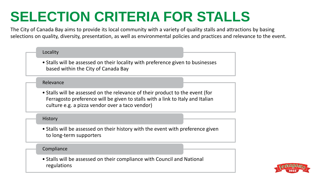## **SELECTION CRITERIA FOR STALLS**

The City of Canada Bay aims to provide its local community with a variety of quality stalls and attractions by basing selections on quality, diversity, presentation, as well as environmental policies and practices and relevance to the event.

#### Locality

• Stalls will be assessed on their locality with preference given to businesses based within the City of Canada Bay

#### Relevance

• Stalls will be assessed on the relevance of their product to the event (for Ferragosto preference will be given to stalls with a link to Italy and Italian culture e.g. a pizza vendor over a taco vendor)

#### **History**

• Stalls will be assessed on their history with the event with preference given to long-term supporters

#### Compliance

• Stalls will be assessed on their compliance with Council and National regulations

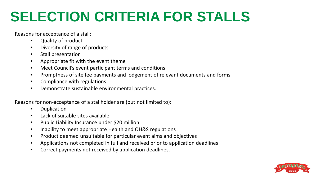## **SELECTION CRITERIA FOR STALLS**

Reasons for acceptance of a stall:

- Quality of product
- Diversity of range of products
- Stall presentation
- Appropriate fit with the event theme
- Meet Council's event participant terms and conditions
- Promptness of site fee payments and lodgement of relevant documents and forms
- Compliance with regulations
- Demonstrate sustainable environmental practices.

Reasons for non-acceptance of a stallholder are (but not limited to):

- Duplication
- Lack of suitable sites available
- Public Liability Insurance under \$20 million
- Inability to meet appropriate Health and OH&S regulations
- Product deemed unsuitable for particular event aims and objectives
- Applications not completed in full and received prior to application deadlines
- Correct payments not received by application deadlines.

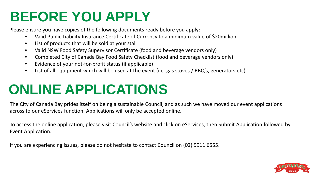### **BEFORE YOU APPLY**

Please ensure you have copies of the following documents ready before you apply:

- Valid Public Liability Insurance Certificate of Currency to a minimum value of \$20million
- List of products that will be sold at your stall
- Valid NSW Food Safety Supervisor Certificate (food and beverage vendors only)
- Completed City of Canada Bay Food Safety Checklist (food and beverage vendors only)
- Evidence of your not-for-profit status (if applicable)
- List of all equipment which will be used at the event (i.e. gas stoves / BBQ's, generators etc)

## **ONLINE APPLICATIONS**

The City of Canada Bay prides itself on being a sustainable Council, and as such we have moved our event applications across to our eServices function. Applications will only be accepted online.

To access the online application, please visit Council's website and click on eServices, then Submit Application followed by Event Application.

If you are experiencing issues, please do not hesitate to contact Council on (02) 9911 6555.

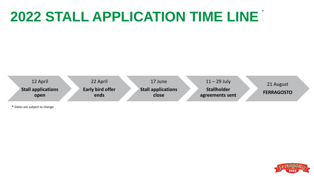### **2022 STALL APPLICATION TIME LINE** \*



**\*** Dates are subject to change